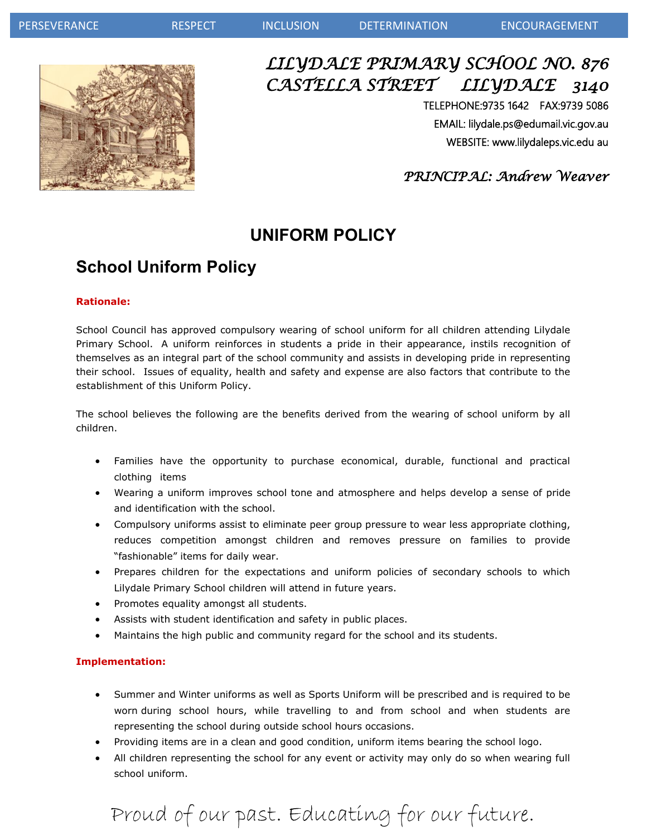

## *LILYDALE PRIMARY SCHOOL NO. 876 CASTELLA STREET LILYDALE 3140*

TELEPHONE:9735 1642 FAX:9739 5086 EMAIL: lilydale.ps@edumail.vic.gov.au WEBSITE: www.lilydaleps.vic.edu au

 *PRINCIPAL: Andrew Weaver*

## **UNIFORM POLICY**

## **School Uniform Policy**

#### **Rationale:**

School Council has approved compulsory wearing of school uniform for all children attending Lilydale Primary School. A uniform reinforces in students a pride in their appearance, instils recognition of themselves as an integral part of the school community and assists in developing pride in representing their school. Issues of equality, health and safety and expense are also factors that contribute to the establishment of this Uniform Policy.

The school believes the following are the benefits derived from the wearing of school uniform by all children.

- Families have the opportunity to purchase economical, durable, functional and practical clothing items
- Wearing a uniform improves school tone and atmosphere and helps develop a sense of pride and identification with the school.
- Compulsory uniforms assist to eliminate peer group pressure to wear less appropriate clothing, reduces competition amongst children and removes pressure on families to provide "fashionable" items for daily wear.
- Prepares children for the expectations and uniform policies of secondary schools to which Lilydale Primary School children will attend in future years.
- Promotes equality amongst all students.
- Assists with student identification and safety in public places.
- Maintains the high public and community regard for the school and its students.

#### **Implementation:**

- Summer and Winter uniforms as well as Sports Uniform will be prescribed and is required to be worn during school hours, while travelling to and from school and when students are representing the school during outside school hours occasions.
- Providing items are in a clean and good condition, uniform items bearing the school logo.
- All children representing the school for any event or activity may only do so when wearing full school uniform.

## Proud of our past. Educating for our future.